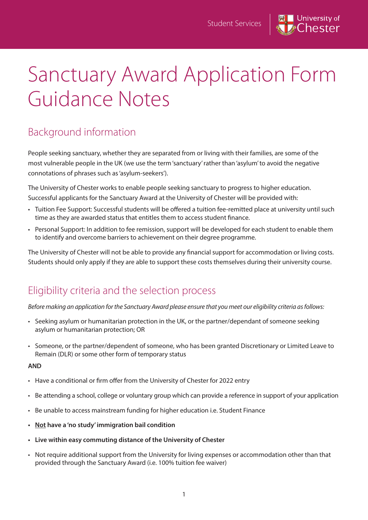

# Sanctuary Award Application Form Guidance Notes

## Background information

People seeking sanctuary, whether they are separated from or living with their families, are some of the most vulnerable people in the UK (we use the term 'sanctuary' rather than 'asylum' to avoid the negative connotations of phrases such as 'asylum-seekers').

The University of Chester works to enable people seeking sanctuary to progress to higher education. Successful applicants for the Sanctuary Award at the University of Chester will be provided with:

- Tuition Fee Support: Successful students will be offered a tuition fee-remitted place at university until such time as they are awarded status that entitles them to access student finance.
- Personal Support: In addition to fee remission, support will be developed for each student to enable them to identify and overcome barriers to achievement on their degree programme.

The University of Chester will not be able to provide any financial support for accommodation or living costs. Students should only apply if they are able to support these costs themselves during their university course.

## Eligibility criteria and the selection process

*Before making an application for the Sanctuary Award please ensure that you meet our eligibility criteria as follows:*

- Seeking asylum or humanitarian protection in the UK, or the partner/dependant of someone seeking asylum or humanitarian protection; OR
- Someone, or the partner/dependent of someone, who has been granted Discretionary or Limited Leave to Remain (DLR) or some other form of temporary status

#### **AND**

- Have a conditional or firm offer from the University of Chester for 2022 entry
- Be attending a school, college or voluntary group which can provide a reference in support of your application
- Be unable to access mainstream funding for higher education i.e. Student Finance
- **• Not have a 'no study' immigration bail condition**
- **• Live within easy commuting distance of the University of Chester**
- Not require additional support from the University for living expenses or accommodation other than that provided through the Sanctuary Award (i.e. 100% tuition fee waiver)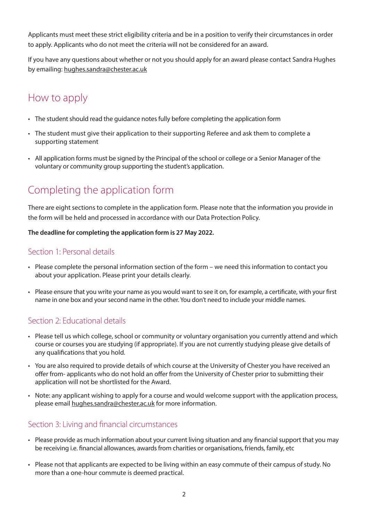Applicants must meet these strict eligibility criteria and be in a position to verify their circumstances in order to apply. Applicants who do not meet the criteria will not be considered for an award.

If you have any questions about whether or not you should apply for an award please contact Sandra Hughes by emailing: hughes.sandra@chester.ac.uk

## How to apply

- The student should read the guidance notes fully before completing the application form
- The student must give their application to their supporting Referee and ask them to complete a supporting statement
- All application forms must be signed by the Principal of the school or college or a Senior Manager of the voluntary or community group supporting the student's application.

# Completing the application form

There are eight sections to complete in the application form. Please note that the information you provide in the form will be held and processed in accordance with our Data Protection Policy.

#### **The deadline for completing the application form is 27 May 2022.**

#### Section 1: Personal details

- Please complete the personal information section of the form we need this information to contact you about your application. Please print your details clearly.
- Please ensure that you write your name as you would want to see it on, for example, a certificate, with your first name in one box and your second name in the other. You don't need to include your middle names.

### Section 2: Educational details

- Please tell us which college, school or community or voluntary organisation you currently attend and which course or courses you are studying (if appropriate). If you are not currently studying please give details of any qualifications that you hold.
- You are also required to provide details of which course at the University of Chester you have received an offer from- applicants who do not hold an offer from the University of Chester prior to submitting their application will not be shortlisted for the Award.
- Note: any applicant wishing to apply for a course and would welcome support with the application process, please email hughes.sandra@chester.ac.uk for more information.

#### Section 3: Living and financial circumstances

- Please provide as much information about your current living situation and any financial support that you may be receiving i.e. financial allowances, awards from charities or organisations, friends, family, etc
- Please not that applicants are expected to be living within an easy commute of their campus of study. No more than a one-hour commute is deemed practical.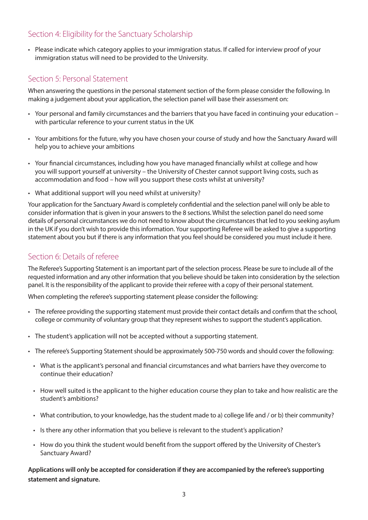### Section 4: Eligibility for the Sanctuary Scholarship

• Please indicate which category applies to your immigration status. If called for interview proof of your immigration status will need to be provided to the University.

#### Section 5: Personal Statement

When answering the questions in the personal statement section of the form please consider the following. In making a judgement about your application, the selection panel will base their assessment on:

- Your personal and family circumstances and the barriers that you have faced in continuing your education with particular reference to your current status in the UK
- Your ambitions for the future, why you have chosen your course of study and how the Sanctuary Award will help you to achieve your ambitions
- Your financial circumstances, including how you have managed financially whilst at college and how you will support yourself at university – the University of Chester cannot support living costs, such as accommodation and food – how will you support these costs whilst at university?
- What additional support will you need whilst at university?

Your application for the Sanctuary Award is completely confidential and the selection panel will only be able to consider information that is given in your answers to the 8 sections. Whilst the selection panel do need some details of personal circumstances we do not need to know about the circumstances that led to you seeking asylum in the UK if you don't wish to provide this information. Your supporting Referee will be asked to give a supporting statement about you but if there is any information that you feel should be considered you must include it here.

#### Section 6: Details of referee

The Referee's Supporting Statement is an important part of the selection process. Please be sure to include all of the requested information and any other information that you believe should be taken into consideration by the selection panel. It is the responsibility of the applicant to provide their referee with a copy of their personal statement.

When completing the referee's supporting statement please consider the following:

- The referee providing the supporting statement must provide their contact details and confirm that the school, college or community of voluntary group that they represent wishes to support the student's application.
- The student's application will not be accepted without a supporting statement.
- The referee's Supporting Statement should be approximately 500-750 words and should cover the following:
	- What is the applicant's personal and financial circumstances and what barriers have they overcome to continue their education?
	- How well suited is the applicant to the higher education course they plan to take and how realistic are the student's ambitions?
	- What contribution, to your knowledge, has the student made to a) college life and / or b) their community?
	- Is there any other information that you believe is relevant to the student's application?
	- How do you think the student would benefit from the support offered by the University of Chester's Sanctuary Award?

**Applications will only be accepted for consideration if they are accompanied by the referee's supporting statement and signature.**